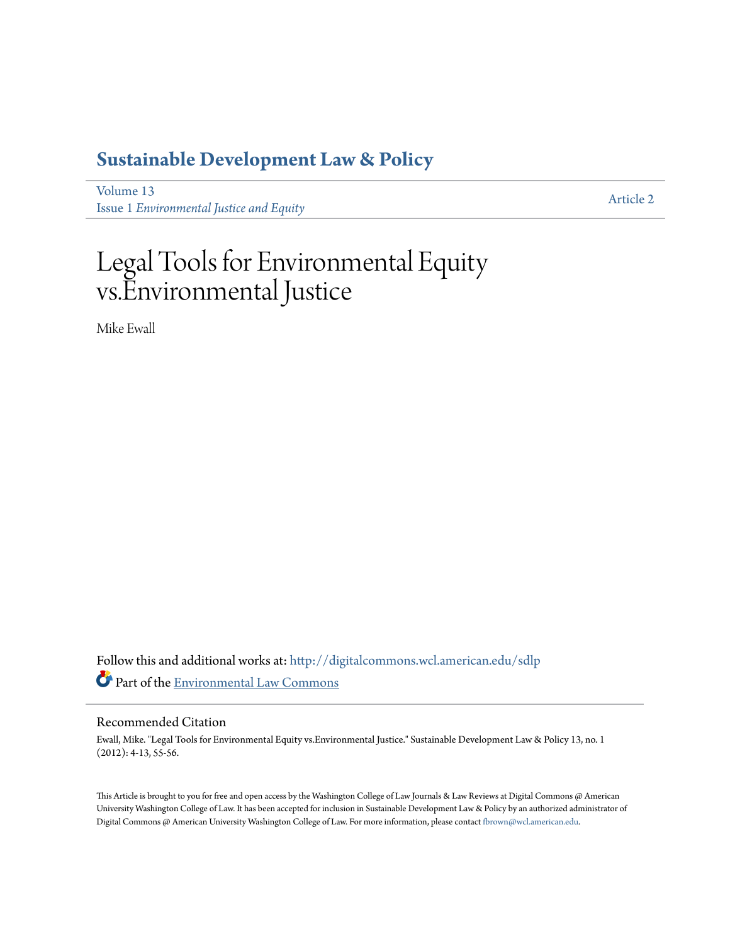## **[Sustainable Development Law & Policy](http://digitalcommons.wcl.american.edu/sdlp?utm_source=digitalcommons.wcl.american.edu%2Fsdlp%2Fvol13%2Fiss1%2F2&utm_medium=PDF&utm_campaign=PDFCoverPages)**

[Volume 13](http://digitalcommons.wcl.american.edu/sdlp/vol13?utm_source=digitalcommons.wcl.american.edu%2Fsdlp%2Fvol13%2Fiss1%2F2&utm_medium=PDF&utm_campaign=PDFCoverPages) Issue 1 *[Environmental Justice and Equity](http://digitalcommons.wcl.american.edu/sdlp/vol13/iss1?utm_source=digitalcommons.wcl.american.edu%2Fsdlp%2Fvol13%2Fiss1%2F2&utm_medium=PDF&utm_campaign=PDFCoverPages)*

[Article 2](http://digitalcommons.wcl.american.edu/sdlp/vol13/iss1/2?utm_source=digitalcommons.wcl.american.edu%2Fsdlp%2Fvol13%2Fiss1%2F2&utm_medium=PDF&utm_campaign=PDFCoverPages)

# Legal Tools for Environmental Equity vs.Environmental Justice

Mike Ewall

Follow this and additional works at: [http://digitalcommons.wcl.american.edu/sdlp](http://digitalcommons.wcl.american.edu/sdlp?utm_source=digitalcommons.wcl.american.edu%2Fsdlp%2Fvol13%2Fiss1%2F2&utm_medium=PDF&utm_campaign=PDFCoverPages) Part of the [Environmental Law Commons](http://network.bepress.com/hgg/discipline/599?utm_source=digitalcommons.wcl.american.edu%2Fsdlp%2Fvol13%2Fiss1%2F2&utm_medium=PDF&utm_campaign=PDFCoverPages)

#### Recommended Citation

Ewall, Mike. "Legal Tools for Environmental Equity vs.Environmental Justice." Sustainable Development Law & Policy 13, no. 1 (2012): 4-13, 55-56.

This Article is brought to you for free and open access by the Washington College of Law Journals & Law Reviews at Digital Commons @ American University Washington College of Law. It has been accepted for inclusion in Sustainable Development Law & Policy by an authorized administrator of Digital Commons @ American University Washington College of Law. For more information, please contact [fbrown@wcl.american.edu](mailto:fbrown@wcl.american.edu).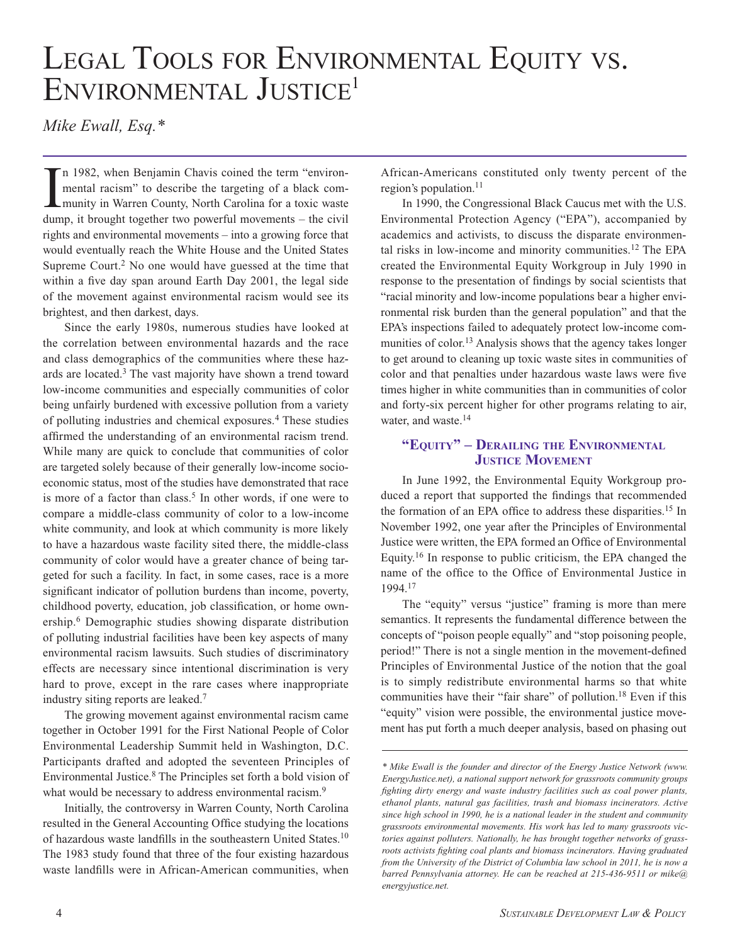# LEGAL TOOLS FOR ENVIRONMENTAL EQUITY VS.<br>ENVIRONMENTAL JUSTICE<sup>1</sup>

*Mike Ewall, Esq.\**

In 1982, when Benjamin Chavis coined the term "environ-<br>mental racism" to describe the targeting of a black com-<br>munity in Warren County, North Carolina for a toxic waste n 1982, when Benjamin Chavis coined the term "environmental racism" to describe the targeting of a black comdump, it brought together two powerful movements – the civil rights and environmental movements – into a growing force that would eventually reach the White House and the United States Supreme Court.<sup>2</sup> No one would have guessed at the time that within a five day span around Earth Day 2001, the legal side of the movement against environmental racism would see its brightest, and then darkest, days.

Since the early 1980s, numerous studies have looked at the correlation between environmental hazards and the race and class demographics of the communities where these hazards are located.3 The vast majority have shown a trend toward low-income communities and especially communities of color being unfairly burdened with excessive pollution from a variety of polluting industries and chemical exposures.4 These studies affirmed the understanding of an environmental racism trend. While many are quick to conclude that communities of color are targeted solely because of their generally low-income socioeconomic status, most of the studies have demonstrated that race is more of a factor than class.<sup>5</sup> In other words, if one were to compare a middle-class community of color to a low-income white community, and look at which community is more likely to have a hazardous waste facility sited there, the middle-class community of color would have a greater chance of being targeted for such a facility. In fact, in some cases, race is a more significant indicator of pollution burdens than income, poverty, childhood poverty, education, job classification, or home ownership.6 Demographic studies showing disparate distribution of polluting industrial facilities have been key aspects of many environmental racism lawsuits. Such studies of discriminatory effects are necessary since intentional discrimination is very hard to prove, except in the rare cases where inappropriate industry siting reports are leaked.7

The growing movement against environmental racism came together in October 1991 for the First National People of Color Environmental Leadership Summit held in Washington, D.C. Participants drafted and adopted the seventeen Principles of Environmental Justice.8 The Principles set forth a bold vision of what would be necessary to address environmental racism.<sup>9</sup>

Initially, the controversy in Warren County, North Carolina resulted in the General Accounting Office studying the locations of hazardous waste landfills in the southeastern United States.10 The 1983 study found that three of the four existing hazardous waste landfills were in African-American communities, when

African-Americans constituted only twenty percent of the region's population.<sup>11</sup>

In 1990, the Congressional Black Caucus met with the U.S. Environmental Protection Agency ("EPA"), accompanied by academics and activists, to discuss the disparate environmental risks in low-income and minority communities.12 The EPA created the Environmental Equity Workgroup in July 1990 in response to the presentation of findings by social scientists that "racial minority and low-income populations bear a higher environmental risk burden than the general population" and that the EPA's inspections failed to adequately protect low-income communities of color.<sup>13</sup> Analysis shows that the agency takes longer to get around to cleaning up toxic waste sites in communities of color and that penalties under hazardous waste laws were five times higher in white communities than in communities of color and forty-six percent higher for other programs relating to air, water, and waste.<sup>14</sup>

#### **"Equity" – Derailing the Environmental JUSTICE MOVEMENT**

In June 1992, the Environmental Equity Workgroup produced a report that supported the findings that recommended the formation of an EPA office to address these disparities.<sup>15</sup> In November 1992, one year after the Principles of Environmental Justice were written, the EPA formed an Office of Environmental Equity.16 In response to public criticism, the EPA changed the name of the office to the Office of Environmental Justice in 1994.17

The "equity" versus "justice" framing is more than mere semantics. It represents the fundamental difference between the concepts of "poison people equally" and "stop poisoning people, period!" There is not a single mention in the movement-defined Principles of Environmental Justice of the notion that the goal is to simply redistribute environmental harms so that white communities have their "fair share" of pollution.<sup>18</sup> Even if this "equity" vision were possible, the environmental justice movement has put forth a much deeper analysis, based on phasing out

*<sup>\*</sup> Mike Ewall is the founder and director of the Energy Justice Network (www. EnergyJustice.net), a national support network for grassroots community groups fighting dirty energy and waste industry facilities such as coal power plants, ethanol plants, natural gas facilities, trash and biomass incinerators. Active since high school in 1990, he is a national leader in the student and community grassroots environmental movements. His work has led to many grassroots victories against polluters. Nationally, he has brought together networks of grassroots activists fighting coal plants and biomass incinerators. Having graduated from the University of the District of Columbia law school in 2011, he is now a barred Pennsylvania attorney. He can be reached at 215-436-9511 or mike@ energyjustice.net.*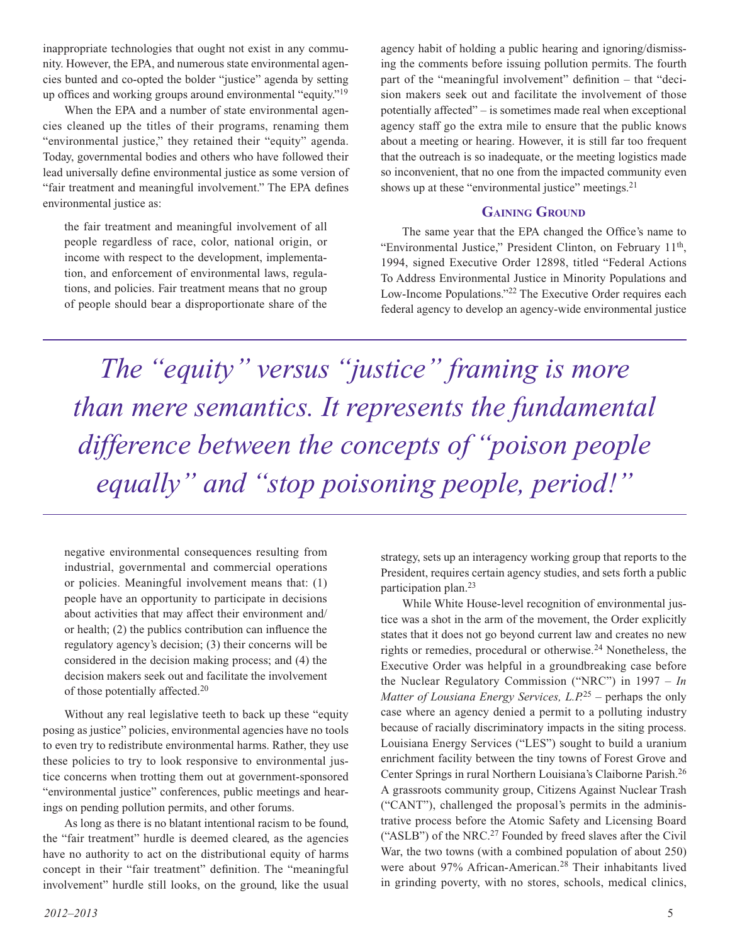inappropriate technologies that ought not exist in any community. However, the EPA, and numerous state environmental agencies bunted and co-opted the bolder "justice" agenda by setting up offices and working groups around environmental "equity."19

When the EPA and a number of state environmental agencies cleaned up the titles of their programs, renaming them "environmental justice," they retained their "equity" agenda. Today, governmental bodies and others who have followed their lead universally define environmental justice as some version of "fair treatment and meaningful involvement." The EPA defines environmental justice as:

the fair treatment and meaningful involvement of all people regardless of race, color, national origin, or income with respect to the development, implementation, and enforcement of environmental laws, regulations, and policies. Fair treatment means that no group of people should bear a disproportionate share of the agency habit of holding a public hearing and ignoring/dismissing the comments before issuing pollution permits. The fourth part of the "meaningful involvement" definition – that "decision makers seek out and facilitate the involvement of those potentially affected" – is sometimes made real when exceptional agency staff go the extra mile to ensure that the public knows about a meeting or hearing. However, it is still far too frequent that the outreach is so inadequate, or the meeting logistics made so inconvenient, that no one from the impacted community even shows up at these "environmental justice" meetings.<sup>21</sup>

#### **Gaining Ground**

The same year that the EPA changed the Office's name to "Environmental Justice," President Clinton, on February 11<sup>th</sup>, 1994, signed Executive Order 12898, titled "Federal Actions To Address Environmental Justice in Minority Populations and Low-Income Populations."22 The Executive Order requires each federal agency to develop an agency-wide environmental justice

*The "equity" versus "justice" framing is more than mere semantics. It represents the fundamental difference between the concepts of "poison people equally" and "stop poisoning people, period!"*

negative environmental consequences resulting from industrial, governmental and commercial operations or policies. Meaningful involvement means that: (1) people have an opportunity to participate in decisions about activities that may affect their environment and/ or health; (2) the publics contribution can influence the regulatory agency's decision; (3) their concerns will be considered in the decision making process; and (4) the decision makers seek out and facilitate the involvement of those potentially affected.20

Without any real legislative teeth to back up these "equity posing as justice" policies, environmental agencies have no tools to even try to redistribute environmental harms. Rather, they use these policies to try to look responsive to environmental justice concerns when trotting them out at government-sponsored "environmental justice" conferences, public meetings and hearings on pending pollution permits, and other forums.

As long as there is no blatant intentional racism to be found, the "fair treatment" hurdle is deemed cleared, as the agencies have no authority to act on the distributional equity of harms concept in their "fair treatment" definition. The "meaningful involvement" hurdle still looks, on the ground, like the usual

strategy, sets up an interagency working group that reports to the President, requires certain agency studies, and sets forth a public participation plan.23

While White House-level recognition of environmental justice was a shot in the arm of the movement, the Order explicitly states that it does not go beyond current law and creates no new rights or remedies, procedural or otherwise.24 Nonetheless, the Executive Order was helpful in a groundbreaking case before the Nuclear Regulatory Commission ("NRC") in 1997 – *In Matter of Lousiana Energy Services, L.P.*25 – perhaps the only case where an agency denied a permit to a polluting industry because of racially discriminatory impacts in the siting process. Louisiana Energy Services ("LES") sought to build a uranium enrichment facility between the tiny towns of Forest Grove and Center Springs in rural Northern Louisiana's Claiborne Parish.26 A grassroots community group, Citizens Against Nuclear Trash ("CANT"), challenged the proposal's permits in the administrative process before the Atomic Safety and Licensing Board ("ASLB") of the NRC.<sup>27</sup> Founded by freed slaves after the Civil War, the two towns (with a combined population of about 250) were about 97% African-American.28 Their inhabitants lived in grinding poverty, with no stores, schools, medical clinics,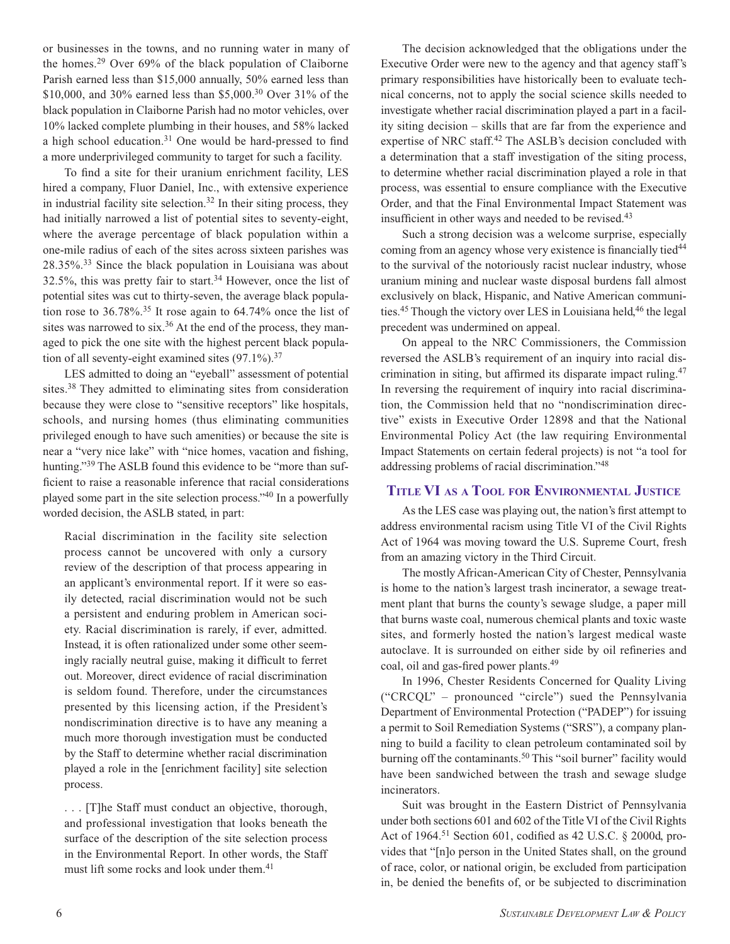or businesses in the towns, and no running water in many of the homes.29 Over 69% of the black population of Claiborne Parish earned less than \$15,000 annually, 50% earned less than \$10,000, and 30% earned less than \$5,000.30 Over 31% of the black population in Claiborne Parish had no motor vehicles, over 10% lacked complete plumbing in their houses, and 58% lacked a high school education.<sup>31</sup> One would be hard-pressed to find a more underprivileged community to target for such a facility.

To find a site for their uranium enrichment facility, LES hired a company, Fluor Daniel, Inc., with extensive experience in industrial facility site selection. $32$  In their siting process, they had initially narrowed a list of potential sites to seventy-eight, where the average percentage of black population within a one-mile radius of each of the sites across sixteen parishes was 28.35%.33 Since the black population in Louisiana was about 32.5%, this was pretty fair to start.34 However, once the list of potential sites was cut to thirty-seven, the average black population rose to  $36.78\%$ .<sup>35</sup> It rose again to  $64.74\%$  once the list of sites was narrowed to six.<sup>36</sup> At the end of the process, they managed to pick the one site with the highest percent black population of all seventy-eight examined sites  $(97.1\%)$ .<sup>37</sup>

LES admitted to doing an "eyeball" assessment of potential sites.38 They admitted to eliminating sites from consideration because they were close to "sensitive receptors" like hospitals, schools, and nursing homes (thus eliminating communities privileged enough to have such amenities) or because the site is near a "very nice lake" with "nice homes, vacation and fishing, hunting."<sup>39</sup> The ASLB found this evidence to be "more than sufficient to raise a reasonable inference that racial considerations played some part in the site selection process."40 In a powerfully worded decision, the ASLB stated, in part:

Racial discrimination in the facility site selection process cannot be uncovered with only a cursory review of the description of that process appearing in an applicant's environmental report. If it were so easily detected, racial discrimination would not be such a persistent and enduring problem in American society. Racial discrimination is rarely, if ever, admitted. Instead, it is often rationalized under some other seemingly racially neutral guise, making it difficult to ferret out. Moreover, direct evidence of racial discrimination is seldom found. Therefore, under the circumstances presented by this licensing action, if the President's nondiscrimination directive is to have any meaning a much more thorough investigation must be conducted by the Staff to determine whether racial discrimination played a role in the [enrichment facility] site selection process.

. . . [T]he Staff must conduct an objective, thorough, and professional investigation that looks beneath the surface of the description of the site selection process in the Environmental Report. In other words, the Staff must lift some rocks and look under them.<sup>41</sup>

The decision acknowledged that the obligations under the Executive Order were new to the agency and that agency staff's primary responsibilities have historically been to evaluate technical concerns, not to apply the social science skills needed to investigate whether racial discrimination played a part in a facility siting decision – skills that are far from the experience and expertise of NRC staff.<sup>42</sup> The ASLB's decision concluded with a determination that a staff investigation of the siting process, to determine whether racial discrimination played a role in that process, was essential to ensure compliance with the Executive Order, and that the Final Environmental Impact Statement was insufficient in other ways and needed to be revised.<sup>43</sup>

Such a strong decision was a welcome surprise, especially coming from an agency whose very existence is financially tied<sup>44</sup> to the survival of the notoriously racist nuclear industry, whose uranium mining and nuclear waste disposal burdens fall almost exclusively on black, Hispanic, and Native American communities.<sup>45</sup> Though the victory over LES in Louisiana held,<sup>46</sup> the legal precedent was undermined on appeal.

On appeal to the NRC Commissioners, the Commission reversed the ASLB's requirement of an inquiry into racial discrimination in siting, but affirmed its disparate impact ruling.47 In reversing the requirement of inquiry into racial discrimination, the Commission held that no "nondiscrimination directive" exists in Executive Order 12898 and that the National Environmental Policy Act (the law requiring Environmental Impact Statements on certain federal projects) is not "a tool for addressing problems of racial discrimination."48

#### **Title VI as a Tool for Environmental Justice**

As the LES case was playing out, the nation's first attempt to address environmental racism using Title VI of the Civil Rights Act of 1964 was moving toward the U.S. Supreme Court, fresh from an amazing victory in the Third Circuit.

The mostly African-American City of Chester, Pennsylvania is home to the nation's largest trash incinerator, a sewage treatment plant that burns the county's sewage sludge, a paper mill that burns waste coal, numerous chemical plants and toxic waste sites, and formerly hosted the nation's largest medical waste autoclave. It is surrounded on either side by oil refineries and coal, oil and gas-fired power plants.49

In 1996, Chester Residents Concerned for Quality Living ("CRCQL" – pronounced "circle") sued the Pennsylvania Department of Environmental Protection ("PADEP") for issuing a permit to Soil Remediation Systems ("SRS"), a company planning to build a facility to clean petroleum contaminated soil by burning off the contaminants.<sup>50</sup> This "soil burner" facility would have been sandwiched between the trash and sewage sludge incinerators.

Suit was brought in the Eastern District of Pennsylvania under both sections 601 and 602 of the Title VI of the Civil Rights Act of 1964.<sup>51</sup> Section 601, codified as 42 U.S.C. § 2000d, provides that "[n]o person in the United States shall, on the ground of race, color, or national origin, be excluded from participation in, be denied the benefits of, or be subjected to discrimination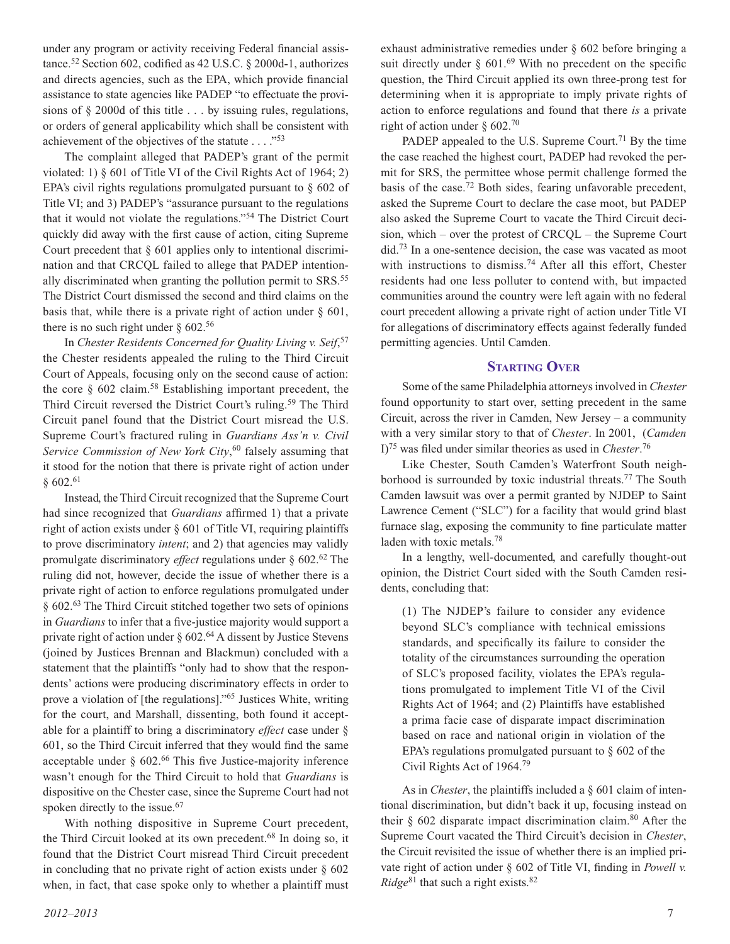under any program or activity receiving Federal financial assistance.52 Section 602, codified as 42 U.S.C. § 2000d-1, authorizes and directs agencies, such as the EPA, which provide financial assistance to state agencies like PADEP "to effectuate the provisions of § 2000d of this title . . . by issuing rules, regulations, or orders of general applicability which shall be consistent with achievement of the objectives of the statute . . . ."53

The complaint alleged that PADEP's grant of the permit violated: 1) § 601 of Title VI of the Civil Rights Act of 1964; 2) EPA's civil rights regulations promulgated pursuant to § 602 of Title VI; and 3) PADEP's "assurance pursuant to the regulations that it would not violate the regulations."54 The District Court quickly did away with the first cause of action, citing Supreme Court precedent that § 601 applies only to intentional discrimination and that CRCQL failed to allege that PADEP intentionally discriminated when granting the pollution permit to SRS.<sup>55</sup> The District Court dismissed the second and third claims on the basis that, while there is a private right of action under § 601, there is no such right under  $\S 602.^{56}$ 

In *Chester Residents Concerned for Quality Living v. Seif*, 57 the Chester residents appealed the ruling to the Third Circuit Court of Appeals, focusing only on the second cause of action: the core  $\S$  602 claim.<sup>58</sup> Establishing important precedent, the Third Circuit reversed the District Court's ruling.<sup>59</sup> The Third Circuit panel found that the District Court misread the U.S. Supreme Court's fractured ruling in *Guardians Ass'n v. Civil Service Commission of New York City*, 60 falsely assuming that it stood for the notion that there is private right of action under § 602.61

Instead, the Third Circuit recognized that the Supreme Court had since recognized that *Guardians* affirmed 1) that a private right of action exists under § 601 of Title VI, requiring plaintiffs to prove discriminatory *intent*; and 2) that agencies may validly promulgate discriminatory *effect* regulations under § 602.62 The ruling did not, however, decide the issue of whether there is a private right of action to enforce regulations promulgated under § 602.63 The Third Circuit stitched together two sets of opinions in *Guardians* to infer that a five-justice majority would support a private right of action under  $\S 602<sup>64</sup>$  A dissent by Justice Stevens (joined by Justices Brennan and Blackmun) concluded with a statement that the plaintiffs "only had to show that the respondents' actions were producing discriminatory effects in order to prove a violation of [the regulations]."65 Justices White, writing for the court, and Marshall, dissenting, both found it acceptable for a plaintiff to bring a discriminatory *effect* case under § 601, so the Third Circuit inferred that they would find the same acceptable under  $\S$  602.<sup>66</sup> This five Justice-majority inference wasn't enough for the Third Circuit to hold that *Guardians* is dispositive on the Chester case, since the Supreme Court had not spoken directly to the issue.<sup>67</sup>

With nothing dispositive in Supreme Court precedent, the Third Circuit looked at its own precedent.68 In doing so, it found that the District Court misread Third Circuit precedent in concluding that no private right of action exists under  $\S$  602 when, in fact, that case spoke only to whether a plaintiff must

*2012–2013* 7

exhaust administrative remedies under § 602 before bringing a suit directly under  $\S$  601.<sup>69</sup> With no precedent on the specific question, the Third Circuit applied its own three-prong test for determining when it is appropriate to imply private rights of action to enforce regulations and found that there *is* a private right of action under  $\S$  602.<sup>70</sup>

PADEP appealed to the U.S. Supreme Court.<sup>71</sup> By the time the case reached the highest court, PADEP had revoked the permit for SRS, the permittee whose permit challenge formed the basis of the case.72 Both sides, fearing unfavorable precedent, asked the Supreme Court to declare the case moot, but PADEP also asked the Supreme Court to vacate the Third Circuit decision, which – over the protest of CRCQL – the Supreme Court did.73 In a one-sentence decision, the case was vacated as moot with instructions to dismiss.<sup>74</sup> After all this effort, Chester residents had one less polluter to contend with, but impacted communities around the country were left again with no federal court precedent allowing a private right of action under Title VI for allegations of discriminatory effects against federally funded permitting agencies. Until Camden.

#### **Starting Over**

Some of the same Philadelphia attorneys involved in *Chester* found opportunity to start over, setting precedent in the same Circuit, across the river in Camden, New Jersey – a community with a very similar story to that of *Chester*. In 2001, (*Camden* I)75 was filed under similar theories as used in *Chester*. 76

Like Chester, South Camden's Waterfront South neighborhood is surrounded by toxic industrial threats.77 The South Camden lawsuit was over a permit granted by NJDEP to Saint Lawrence Cement ("SLC") for a facility that would grind blast furnace slag, exposing the community to fine particulate matter laden with toxic metals.<sup>78</sup>

In a lengthy, well-documented, and carefully thought-out opinion, the District Court sided with the South Camden residents, concluding that:

(1) The NJDEP's failure to consider any evidence beyond SLC's compliance with technical emissions standards, and specifically its failure to consider the totality of the circumstances surrounding the operation of SLC's proposed facility, violates the EPA's regulations promulgated to implement Title VI of the Civil Rights Act of 1964; and (2) Plaintiffs have established a prima facie case of disparate impact discrimination based on race and national origin in violation of the EPA's regulations promulgated pursuant to  $\S$  602 of the Civil Rights Act of 1964.79

As in *Chester*, the plaintiffs included a § 601 claim of intentional discrimination, but didn't back it up, focusing instead on their  $\S$  602 disparate impact discrimination claim.<sup>80</sup> After the Supreme Court vacated the Third Circuit's decision in *Chester*, the Circuit revisited the issue of whether there is an implied private right of action under § 602 of Title VI, finding in *Powell v.*  $Ridge<sup>81</sup>$  that such a right exists.<sup>82</sup>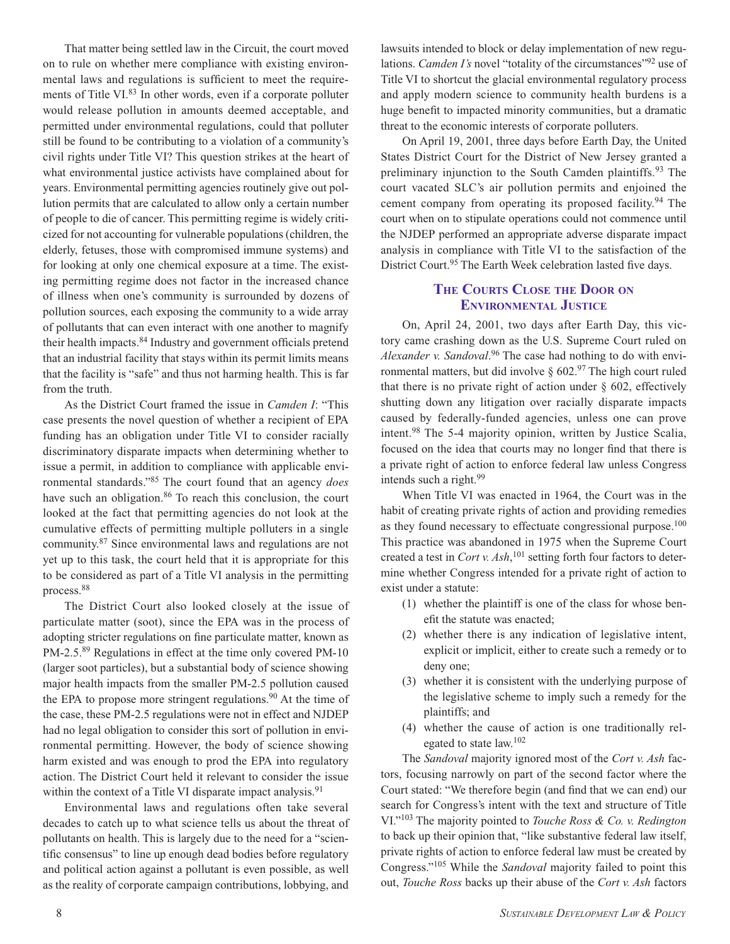That matter being settled law in the Circuit, the court moved on to rule on whether mere compliance with existing environmental laws and regulations is sufficient to meet the requirements of Title VI.<sup>83</sup> In other words, even if a corporate polluter would release pollution in amounts deemed acceptable, and permitted under environmental regulations, could that polluter still be found to be contributing to a violation of a community's civil rights under Title VI? This question strikes at the heart of what environmental justice activists have complained about for years. Environmental permitting agencies routinely give out pollution permits that are calculated to allow only a certain number of people to die of cancer. This permitting regime is widely criticized for not accounting for vulnerable populations (children, the elderly, fetuses, those with compromised immune systems) and for looking at only one chemical exposure at a time. The existing permitting regime does not factor in the increased chance of illness when one's community is surrounded by dozens of pollution sources, each exposing the community to a wide array of pollutants that can even interact with one another to magnify their health impacts.84 Industry and government officials pretend that an industrial facility that stays within its permit limits means that the facility is "safe" and thus not harming health. This is far from the truth.

As the District Court framed the issue in *Camden I*: "This case presents the novel question of whether a recipient of EPA funding has an obligation under Title VI to consider racially discriminatory disparate impacts when determining whether to issue a permit, in addition to compliance with applicable environmental standards."85 The court found that an agency *does* have such an obligation.<sup>86</sup> To reach this conclusion, the court looked at the fact that permitting agencies do not look at the cumulative effects of permitting multiple polluters in a single community.87 Since environmental laws and regulations are not yet up to this task, the court held that it is appropriate for this to be considered as part of a Title VI analysis in the permitting process.88

The District Court also looked closely at the issue of particulate matter (soot), since the EPA was in the process of adopting stricter regulations on fine particulate matter, known as PM-2.5.<sup>89</sup> Regulations in effect at the time only covered PM-10 (larger soot particles), but a substantial body of science showing major health impacts from the smaller PM-2.5 pollution caused the EPA to propose more stringent regulations.<sup>90</sup> At the time of the case, these PM-2.5 regulations were not in effect and NJDEP had no legal obligation to consider this sort of pollution in environmental permitting. However, the body of science showing harm existed and was enough to prod the EPA into regulatory action. The District Court held it relevant to consider the issue within the context of a Title VI disparate impact analysis.<sup>91</sup>

Environmental laws and regulations often take several decades to catch up to what science tells us about the threat of pollutants on health. This is largely due to the need for a "scientific consensus" to line up enough dead bodies before regulatory and political action against a pollutant is even possible, as well as the reality of corporate campaign contributions, lobbying, and lawsuits intended to block or delay implementation of new regulations. *Camden I's* novel "totality of the circumstances"<sup>92</sup> use of Title VI to shortcut the glacial environmental regulatory process and apply modern science to community health burdens is a huge benefit to impacted minority communities, but a dramatic threat to the economic interests of corporate polluters.

On April 19, 2001, three days before Earth Day, the United States District Court for the District of New Jersey granted a preliminary injunction to the South Camden plaintiffs.<sup>93</sup> The court vacated SLC's air pollution permits and enjoined the cement company from operating its proposed facility.<sup>94</sup> The court when on to stipulate operations could not commence until the NJDEP performed an appropriate adverse disparate impact analysis in compliance with Title VI to the satisfaction of the District Court.<sup>95</sup> The Earth Week celebration lasted five days.

#### **The Courts Close the Door on Environmental Justice**

On, April 24, 2001, two days after Earth Day, this victory came crashing down as the U.S. Supreme Court ruled on *Alexander v. Sandoval*. 96 The case had nothing to do with environmental matters, but did involve  $\S 602.^{97}$  The high court ruled that there is no private right of action under  $\S$  602, effectively shutting down any litigation over racially disparate impacts caused by federally-funded agencies, unless one can prove intent.98 The 5-4 majority opinion, written by Justice Scalia, focused on the idea that courts may no longer find that there is a private right of action to enforce federal law unless Congress intends such a right.99

When Title VI was enacted in 1964, the Court was in the habit of creating private rights of action and providing remedies as they found necessary to effectuate congressional purpose.<sup>100</sup> This practice was abandoned in 1975 when the Supreme Court created a test in *Cort v. Ash*, 101 setting forth four factors to determine whether Congress intended for a private right of action to exist under a statute:

- (1) whether the plaintiff is one of the class for whose benefit the statute was enacted;
- (2) whether there is any indication of legislative intent, explicit or implicit, either to create such a remedy or to deny one;
- (3) whether it is consistent with the underlying purpose of the legislative scheme to imply such a remedy for the plaintiffs; and
- (4) whether the cause of action is one traditionally relegated to state law.102

The *Sandoval* majority ignored most of the *Cort v. Ash* factors, focusing narrowly on part of the second factor where the Court stated: "We therefore begin (and find that we can end) our search for Congress's intent with the text and structure of Title VI."103 The majority pointed to *Touche Ross & Co. v. Redington* to back up their opinion that, "like substantive federal law itself, private rights of action to enforce federal law must be created by Congress."105 While the *Sandoval* majority failed to point this out, *Touche Ross* backs up their abuse of the *Cort v. Ash* factors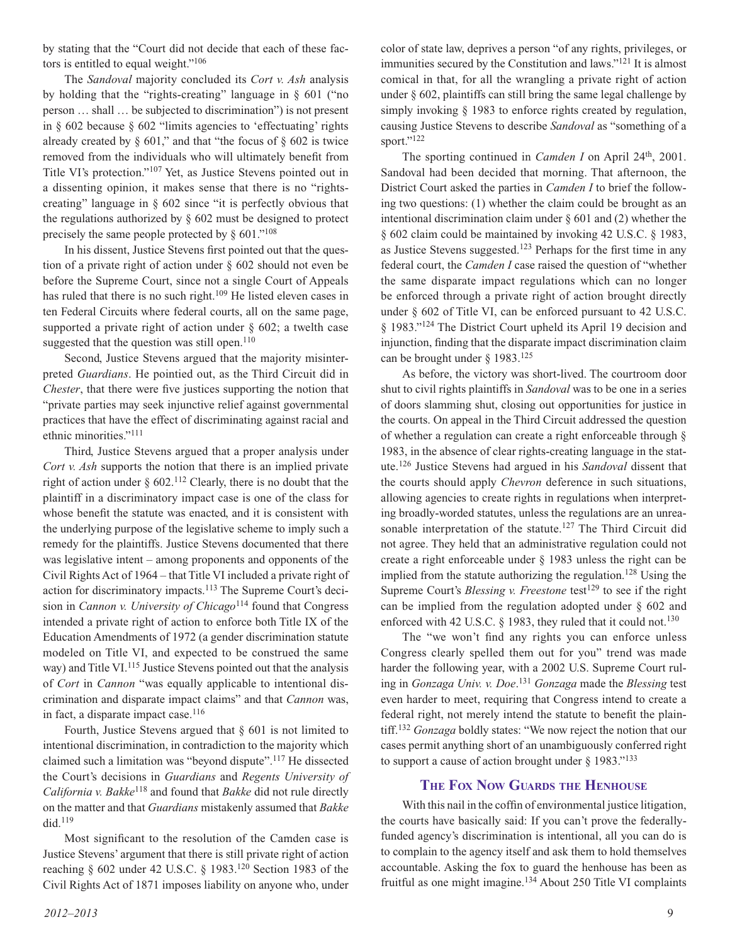by stating that the "Court did not decide that each of these factors is entitled to equal weight."106

The *Sandoval* majority concluded its *Cort v. Ash* analysis by holding that the "rights-creating" language in § 601 ("no person … shall … be subjected to discrimination") is not present in § 602 because § 602 "limits agencies to 'effectuating' rights already created by  $\S$  601," and that "the focus of  $\S$  602 is twice removed from the individuals who will ultimately benefit from Title VI's protection."107 Yet, as Justice Stevens pointed out in a dissenting opinion, it makes sense that there is no "rightscreating" language in § 602 since "it is perfectly obvious that the regulations authorized by § 602 must be designed to protect precisely the same people protected by  $\S 601$ ."<sup>108</sup>

In his dissent, Justice Stevens first pointed out that the question of a private right of action under § 602 should not even be before the Supreme Court, since not a single Court of Appeals has ruled that there is no such right.<sup>109</sup> He listed eleven cases in ten Federal Circuits where federal courts, all on the same page, supported a private right of action under  $\S$  602; a twelth case suggested that the question was still open. $110$ 

Second, Justice Stevens argued that the majority misinterpreted *Guardians*. He pointied out, as the Third Circuit did in *Chester*, that there were five justices supporting the notion that "private parties may seek injunctive relief against governmental practices that have the effect of discriminating against racial and ethnic minorities."111

Third, Justice Stevens argued that a proper analysis under *Cort v. Ash* supports the notion that there is an implied private right of action under  $\S$  602.<sup>112</sup> Clearly, there is no doubt that the plaintiff in a discriminatory impact case is one of the class for whose benefit the statute was enacted, and it is consistent with the underlying purpose of the legislative scheme to imply such a remedy for the plaintiffs. Justice Stevens documented that there was legislative intent – among proponents and opponents of the Civil Rights Act of 1964 – that Title VI included a private right of action for discriminatory impacts.113 The Supreme Court's decision in *Cannon v. University of Chicago*<sup>114</sup> found that Congress intended a private right of action to enforce both Title IX of the Education Amendments of 1972 (a gender discrimination statute modeled on Title VI, and expected to be construed the same way) and Title VI.<sup>115</sup> Justice Stevens pointed out that the analysis of *Cort* in *Cannon* "was equally applicable to intentional discrimination and disparate impact claims" and that *Cannon* was, in fact, a disparate impact case.<sup>116</sup>

Fourth, Justice Stevens argued that  $\S$  601 is not limited to intentional discrimination, in contradiction to the majority which claimed such a limitation was "beyond dispute".117 He dissected the Court's decisions in *Guardians* and *Regents University of California v. Bakke*118 and found that *Bakke* did not rule directly on the matter and that *Guardians* mistakenly assumed that *Bakke*  $did.<sup>119</sup>$ 

Most significant to the resolution of the Camden case is Justice Stevens' argument that there is still private right of action reaching § 602 under 42 U.S.C. § 1983.120 Section 1983 of the Civil Rights Act of 1871 imposes liability on anyone who, under

color of state law, deprives a person "of any rights, privileges, or immunities secured by the Constitution and laws."121 It is almost comical in that, for all the wrangling a private right of action under  $\S$  602, plaintiffs can still bring the same legal challenge by simply invoking § 1983 to enforce rights created by regulation, causing Justice Stevens to describe *Sandoval* as "something of a sport."<sup>122</sup>

The sporting continued in *Camden I* on April 24<sup>th</sup>, 2001. Sandoval had been decided that morning. That afternoon, the District Court asked the parties in *Camden I* to brief the following two questions: (1) whether the claim could be brought as an intentional discrimination claim under  $\S$  601 and (2) whether the § 602 claim could be maintained by invoking 42 U.S.C. § 1983, as Justice Stevens suggested.123 Perhaps for the first time in any federal court, the *Camden I* case raised the question of "whether the same disparate impact regulations which can no longer be enforced through a private right of action brought directly under § 602 of Title VI, can be enforced pursuant to 42 U.S.C. § 1983."124 The District Court upheld its April 19 decision and injunction, finding that the disparate impact discrimination claim can be brought under  $\S$  1983.<sup>125</sup>

As before, the victory was short-lived. The courtroom door shut to civil rights plaintiffs in *Sandoval* was to be one in a series of doors slamming shut, closing out opportunities for justice in the courts. On appeal in the Third Circuit addressed the question of whether a regulation can create a right enforceable through § 1983, in the absence of clear rights-creating language in the statute.126 Justice Stevens had argued in his *Sandoval* dissent that the courts should apply *Chevron* deference in such situations, allowing agencies to create rights in regulations when interpreting broadly-worded statutes, unless the regulations are an unreasonable interpretation of the statute.<sup>127</sup> The Third Circuit did not agree. They held that an administrative regulation could not create a right enforceable under § 1983 unless the right can be implied from the statute authorizing the regulation.<sup>128</sup> Using the Supreme Court's *Blessing v. Freestone* test<sup>129</sup> to see if the right can be implied from the regulation adopted under § 602 and enforced with 42 U.S.C. § 1983, they ruled that it could not.<sup>130</sup>

The "we won't find any rights you can enforce unless Congress clearly spelled them out for you" trend was made harder the following year, with a 2002 U.S. Supreme Court ruling in *Gonzaga Univ. v. Doe*. <sup>131</sup> *Gonzaga* made the *Blessing* test even harder to meet, requiring that Congress intend to create a federal right, not merely intend the statute to benefit the plaintiff.132 *Gonzaga* boldly states: "We now reject the notion that our cases permit anything short of an unambiguously conferred right to support a cause of action brought under  $\S$  1983."<sup>133</sup>

#### **The Fox Now Guards the Henhouse**

With this nail in the coffin of environmental justice litigation, the courts have basically said: If you can't prove the federallyfunded agency's discrimination is intentional, all you can do is to complain to the agency itself and ask them to hold themselves accountable. Asking the fox to guard the henhouse has been as fruitful as one might imagine.<sup>134</sup> About 250 Title VI complaints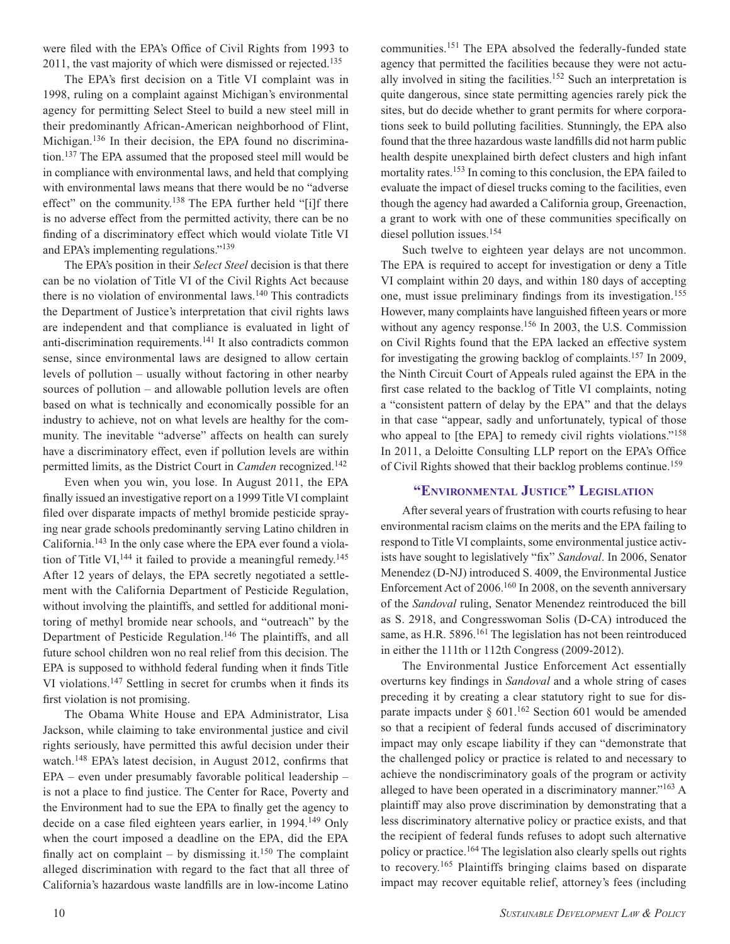were filed with the EPA's Office of Civil Rights from 1993 to 2011, the vast majority of which were dismissed or rejected.<sup>135</sup>

The EPA's first decision on a Title VI complaint was in 1998, ruling on a complaint against Michigan's environmental agency for permitting Select Steel to build a new steel mill in their predominantly African-American neighborhood of Flint, Michigan.<sup>136</sup> In their decision, the EPA found no discrimination.137 The EPA assumed that the proposed steel mill would be in compliance with environmental laws, and held that complying with environmental laws means that there would be no "adverse effect" on the community.<sup>138</sup> The EPA further held "[i]f there is no adverse effect from the permitted activity, there can be no finding of a discriminatory effect which would violate Title VI and EPA's implementing regulations."139

The EPA's position in their *Select Steel* decision is that there can be no violation of Title VI of the Civil Rights Act because there is no violation of environmental laws.140 This contradicts the Department of Justice's interpretation that civil rights laws are independent and that compliance is evaluated in light of anti-discrimination requirements.141 It also contradicts common sense, since environmental laws are designed to allow certain levels of pollution – usually without factoring in other nearby sources of pollution – and allowable pollution levels are often based on what is technically and economically possible for an industry to achieve, not on what levels are healthy for the community. The inevitable "adverse" affects on health can surely have a discriminatory effect, even if pollution levels are within permitted limits, as the District Court in *Camden* recognized.142

Even when you win, you lose. In August 2011, the EPA finally issued an investigative report on a 1999 Title VI complaint filed over disparate impacts of methyl bromide pesticide spraying near grade schools predominantly serving Latino children in California.143 In the only case where the EPA ever found a violation of Title VI,  $^{144}$  it failed to provide a meaningful remedy.<sup>145</sup> After 12 years of delays, the EPA secretly negotiated a settlement with the California Department of Pesticide Regulation, without involving the plaintiffs, and settled for additional monitoring of methyl bromide near schools, and "outreach" by the Department of Pesticide Regulation.<sup>146</sup> The plaintiffs, and all future school children won no real relief from this decision. The EPA is supposed to withhold federal funding when it finds Title VI violations.147 Settling in secret for crumbs when it finds its first violation is not promising.

The Obama White House and EPA Administrator, Lisa Jackson, while claiming to take environmental justice and civil rights seriously, have permitted this awful decision under their watch.<sup>148</sup> EPA's latest decision, in August 2012, confirms that EPA – even under presumably favorable political leadership – is not a place to find justice. The Center for Race, Poverty and the Environment had to sue the EPA to finally get the agency to decide on a case filed eighteen years earlier, in 1994.<sup>149</sup> Only when the court imposed a deadline on the EPA, did the EPA finally act on complaint – by dismissing it.<sup>150</sup> The complaint alleged discrimination with regard to the fact that all three of California's hazardous waste landfills are in low-income Latino

communities.151 The EPA absolved the federally-funded state agency that permitted the facilities because they were not actually involved in siting the facilities.<sup>152</sup> Such an interpretation is quite dangerous, since state permitting agencies rarely pick the sites, but do decide whether to grant permits for where corporations seek to build polluting facilities. Stunningly, the EPA also found that the three hazardous waste landfills did not harm public health despite unexplained birth defect clusters and high infant mortality rates.<sup>153</sup> In coming to this conclusion, the EPA failed to evaluate the impact of diesel trucks coming to the facilities, even though the agency had awarded a California group, Greenaction, a grant to work with one of these communities specifically on diesel pollution issues.<sup>154</sup>

Such twelve to eighteen year delays are not uncommon. The EPA is required to accept for investigation or deny a Title VI complaint within 20 days, and within 180 days of accepting one, must issue preliminary findings from its investigation.155 However, many complaints have languished fifteen years or more without any agency response.<sup>156</sup> In 2003, the U.S. Commission on Civil Rights found that the EPA lacked an effective system for investigating the growing backlog of complaints.157 In 2009, the Ninth Circuit Court of Appeals ruled against the EPA in the first case related to the backlog of Title VI complaints, noting a "consistent pattern of delay by the EPA" and that the delays in that case "appear, sadly and unfortunately, typical of those who appeal to [the EPA] to remedy civil rights violations."<sup>158</sup> In 2011, a Deloitte Consulting LLP report on the EPA's Office of Civil Rights showed that their backlog problems continue.159

#### **"Environmental Justice" L gislation**

After several years of frustration with courts refusing to hear environmental racism claims on the merits and the EPA failing to respond to Title VI complaints, some environmental justice activists have sought to legislatively "fix" *Sandoval*. In 2006, Senator Menendez (D-NJ) introduced S. 4009, the Environmental Justice Enforcement Act of 2006.160 In 2008, on the seventh anniversary of the *Sandoval* ruling, Senator Menendez reintroduced the bill as S. 2918, and Congresswoman Solis (D-CA) introduced the same, as H.R. 5896.<sup>161</sup> The legislation has not been reintroduced in either the 111th or 112th Congress (2009-2012).

The Environmental Justice Enforcement Act essentially overturns key findings in *Sandoval* and a whole string of cases preceding it by creating a clear statutory right to sue for disparate impacts under  $\S$  601.<sup>162</sup> Section 601 would be amended so that a recipient of federal funds accused of discriminatory impact may only escape liability if they can "demonstrate that the challenged policy or practice is related to and necessary to achieve the nondiscriminatory goals of the program or activity alleged to have been operated in a discriminatory manner."163 A plaintiff may also prove discrimination by demonstrating that a less discriminatory alternative policy or practice exists, and that the recipient of federal funds refuses to adopt such alternative policy or practice.164 The legislation also clearly spells out rights to recovery.165 Plaintiffs bringing claims based on disparate impact may recover equitable relief, attorney's fees (including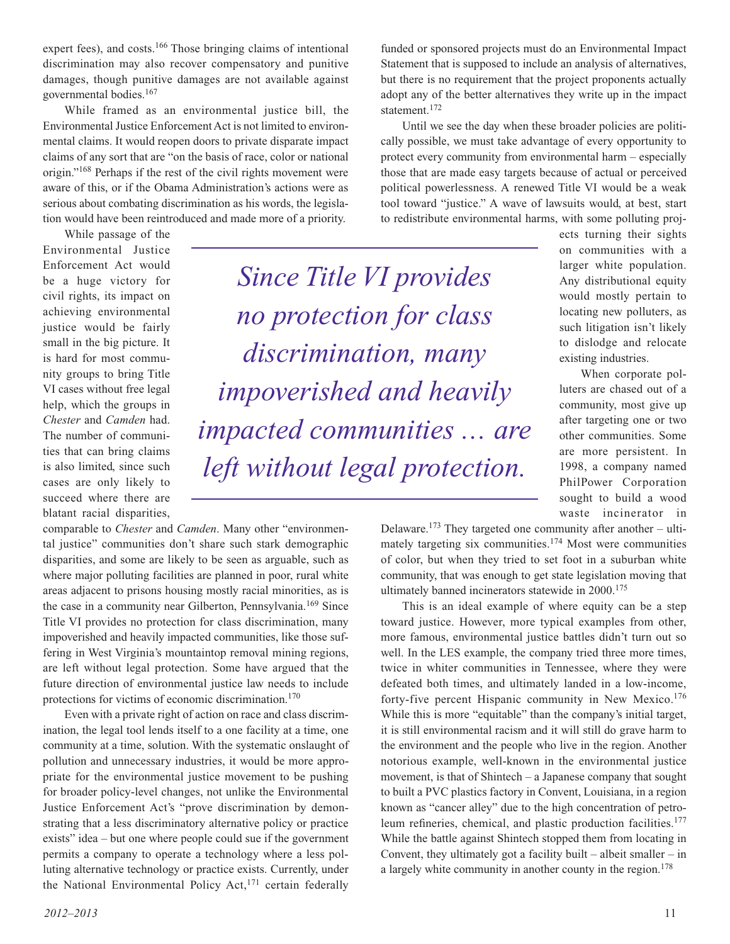expert fees), and costs.<sup>166</sup> Those bringing claims of intentional discrimination may also recover compensatory and punitive damages, though punitive damages are not available against governmental bodies.167

While framed as an environmental justice bill, the Environmental Justice Enforcement Act is not limited to environmental claims. It would reopen doors to private disparate impact claims of any sort that are "on the basis of race, color or national origin."168 Perhaps if the rest of the civil rights movement were aware of this, or if the Obama Administration's actions were as serious about combating discrimination as his words, the legislation would have been reintroduced and made more of a priority.

While passage of the Environmental Justice Enforcement Act would be a huge victory for civil rights, its impact on achieving environmental justice would be fairly small in the big picture. It is hard for most community groups to bring Title VI cases without free legal help, which the groups in *Chester* and *Camden* had. The number of communities that can bring claims is also limited, since such cases are only likely to succeed where there are blatant racial disparities,

*Since Title VI provides no protection for class discrimination, many impoverished and heavily impacted communities … are left without legal protection.*

comparable to *Chester* and *Camden*. Many other "environmental justice" communities don't share such stark demographic disparities, and some are likely to be seen as arguable, such as where major polluting facilities are planned in poor, rural white areas adjacent to prisons housing mostly racial minorities, as is the case in a community near Gilberton, Pennsylvania.<sup>169</sup> Since Title VI provides no protection for class discrimination, many impoverished and heavily impacted communities, like those suffering in West Virginia's mountaintop removal mining regions, are left without legal protection. Some have argued that the future direction of environmental justice law needs to include protections for victims of economic discrimination.<sup>170</sup>

Even with a private right of action on race and class discrimination, the legal tool lends itself to a one facility at a time, one community at a time, solution. With the systematic onslaught of pollution and unnecessary industries, it would be more appropriate for the environmental justice movement to be pushing for broader policy-level changes, not unlike the Environmental Justice Enforcement Act's "prove discrimination by demonstrating that a less discriminatory alternative policy or practice exists" idea – but one where people could sue if the government permits a company to operate a technology where a less polluting alternative technology or practice exists. Currently, under the National Environmental Policy Act,<sup>171</sup> certain federally

funded or sponsored projects must do an Environmental Impact Statement that is supposed to include an analysis of alternatives, but there is no requirement that the project proponents actually adopt any of the better alternatives they write up in the impact statement.<sup>172</sup>

Until we see the day when these broader policies are politically possible, we must take advantage of every opportunity to protect every community from environmental harm – especially those that are made easy targets because of actual or perceived political powerlessness. A renewed Title VI would be a weak tool toward "justice." A wave of lawsuits would, at best, start to redistribute environmental harms, with some polluting proj-

> ects turning their sights on communities with a larger white population. Any distributional equity would mostly pertain to locating new polluters, as such litigation isn't likely to dislodge and relocate existing industries.

> When corporate polluters are chased out of a community, most give up after targeting one or two other communities. Some are more persistent. In 1998, a company named PhilPower Corporation sought to build a wood waste incinerator in

Delaware.<sup>173</sup> They targeted one community after another – ultimately targeting six communities.174 Most were communities of color, but when they tried to set foot in a suburban white community, that was enough to get state legislation moving that ultimately banned incinerators statewide in 2000.<sup>175</sup>

This is an ideal example of where equity can be a step toward justice. However, more typical examples from other, more famous, environmental justice battles didn't turn out so well. In the LES example, the company tried three more times, twice in whiter communities in Tennessee, where they were defeated both times, and ultimately landed in a low-income, forty-five percent Hispanic community in New Mexico.<sup>176</sup> While this is more "equitable" than the company's initial target, it is still environmental racism and it will still do grave harm to the environment and the people who live in the region. Another notorious example, well-known in the environmental justice movement, is that of Shintech – a Japanese company that sought to built a PVC plastics factory in Convent, Louisiana, in a region known as "cancer alley" due to the high concentration of petroleum refineries, chemical, and plastic production facilities.<sup>177</sup> While the battle against Shintech stopped them from locating in Convent, they ultimately got a facility built – albeit smaller – in a largely white community in another county in the region.<sup>178</sup>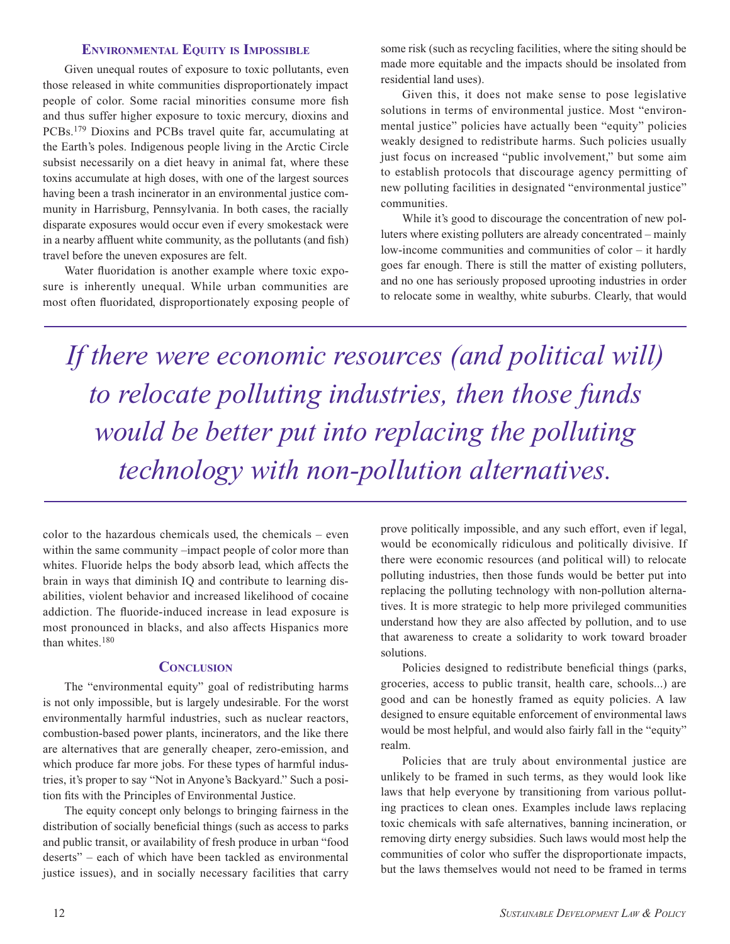#### **Environmental Equity is Impossible**

Given unequal routes of exposure to toxic pollutants, even those released in white communities disproportionately impact people of color. Some racial minorities consume more fish and thus suffer higher exposure to toxic mercury, dioxins and PCBs.179 Dioxins and PCBs travel quite far, accumulating at the Earth's poles. Indigenous people living in the Arctic Circle subsist necessarily on a diet heavy in animal fat, where these toxins accumulate at high doses, with one of the largest sources having been a trash incinerator in an environmental justice community in Harrisburg, Pennsylvania. In both cases, the racially disparate exposures would occur even if every smokestack were in a nearby affluent white community, as the pollutants (and fish) travel before the uneven exposures are felt.

Water fluoridation is another example where toxic exposure is inherently unequal. While urban communities are most often fluoridated, disproportionately exposing people of

some risk (such as recycling facilities, where the siting should be made more equitable and the impacts should be insolated from residential land uses).

Given this, it does not make sense to pose legislative solutions in terms of environmental justice. Most "environmental justice" policies have actually been "equity" policies weakly designed to redistribute harms. Such policies usually just focus on increased "public involvement," but some aim to establish protocols that discourage agency permitting of new polluting facilities in designated "environmental justice" communities.

While it's good to discourage the concentration of new polluters where existing polluters are already concentrated – mainly low-income communities and communities of color – it hardly goes far enough. There is still the matter of existing polluters, and no one has seriously proposed uprooting industries in order to relocate some in wealthy, white suburbs. Clearly, that would

*If there were economic resources (and political will) to relocate polluting industries, then those funds would be better put into replacing the polluting technology with non-pollution alternatives.*

color to the hazardous chemicals used, the chemicals – even within the same community –impact people of color more than whites. Fluoride helps the body absorb lead, which affects the brain in ways that diminish IQ and contribute to learning disabilities, violent behavior and increased likelihood of cocaine addiction. The fluoride-induced increase in lead exposure is most pronounced in blacks, and also affects Hispanics more than whites.<sup>180</sup>

#### **CONCLUSION**

The "environmental equity" goal of redistributing harms is not only impossible, but is largely undesirable. For the worst environmentally harmful industries, such as nuclear reactors, combustion-based power plants, incinerators, and the like there are alternatives that are generally cheaper, zero-emission, and which produce far more jobs. For these types of harmful industries, it's proper to say "Not in Anyone's Backyard." Such a position fits with the Principles of Environmental Justice.

The equity concept only belongs to bringing fairness in the distribution of socially beneficial things (such as access to parks and public transit, or availability of fresh produce in urban "food deserts" – each of which have been tackled as environmental justice issues), and in socially necessary facilities that carry prove politically impossible, and any such effort, even if legal, would be economically ridiculous and politically divisive. If there were economic resources (and political will) to relocate polluting industries, then those funds would be better put into replacing the polluting technology with non-pollution alternatives. It is more strategic to help more privileged communities understand how they are also affected by pollution, and to use that awareness to create a solidarity to work toward broader solutions.

Policies designed to redistribute beneficial things (parks, groceries, access to public transit, health care, schools...) are good and can be honestly framed as equity policies. A law designed to ensure equitable enforcement of environmental laws would be most helpful, and would also fairly fall in the "equity" realm.

Policies that are truly about environmental justice are unlikely to be framed in such terms, as they would look like laws that help everyone by transitioning from various polluting practices to clean ones. Examples include laws replacing toxic chemicals with safe alternatives, banning incineration, or removing dirty energy subsidies. Such laws would most help the communities of color who suffer the disproportionate impacts, but the laws themselves would not need to be framed in terms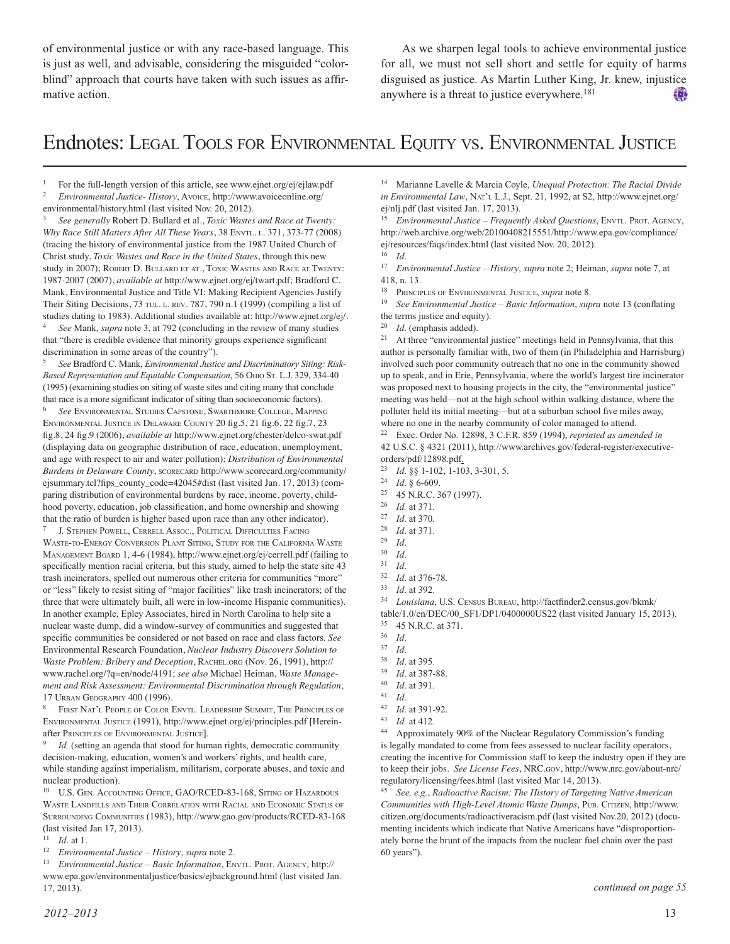of environmental justice or with any race-based language. This is just as well, and advisable, considering the misguided "colorblind" approach that courts have taken with such issues as affirmative action.

As we sharpen legal tools to achieve environmental justice for all, we must not sell short and settle for equity of harms disguised as justice. As Martin Luther King, Jr. knew, injustice anywhere is a threat to justice everywhere.<sup>181</sup> 使り

### Endnotes: Legal Tools for Environmental quity vs. Environmental Justice

<sup>1</sup> For the full-length version of this article, see www.ejnet.org/ej/ejlaw.pdf<br> $\frac{1}{2}$  Funivers were little in History Arrows http://www.grajoonline.org/ <sup>2</sup> *Environmental Justice- History*, Avoice, http://www.avoiceonline.org/ environmental/history.html (last visited Nov. 20, 2012).

<sup>3</sup> *See generally* Robert D. Bullard et al., *Toxic Wastes and Race at Twenty: Why Race Still Matters After All These Years*, 38 EnvTL. L. 371, 373-77 (2008) (tracing the history of environmental justice from the 1987 United Church of Christ study, *Toxic Wastes and Race in the United States*, through this new study in 2007); ROBERT D. BULLARD ET AT., TOXIC WASTES AND RACE AT TWENTY: 1987-2007 (2007), *available at* http://www.ejnet.org/ej/twart.pdf; Bradford C. Mank, Environmental Justice and Title VI: Making Recipient Agencies Justify Their Siting Decisions, 73 TUL. L. REV. 787, 790 n.1 (1999) (compiling a list of studies dating to 1983). Additional studies available at: http://www.ejnet.org/ej/. <sup>4</sup> *See* Mank, *supra* note 3, at 792 (concluding in the review of many studies

that "there is credible evidence that minority groups experience significant discrimination in some areas of the country").

<sup>5</sup> *See* Bradford C. Mank, *Environmental Justice and Discriminatory Siting: Risk-*Based Representation and Equitable Compensation, 56 OHIO ST. L.J. 329, 334-40 (1995) (examining studies on siting of waste sites and citing many that conclude that race is a more significant indicator of siting than socioeconomic factors).

See ENVIRONMENTAL STUDIES CAPSTONE, SWARTHMORE COLLEGE, MAPPING ENVIRONMENTAL JUSTICE IN DELAWARE COUNTY 20 fig.5, 21 fig.6, 22 fig.7, 23 fig.8, 24 fig.9 (2006), *available at* http://www.ejnet.org/chester/delco-swat.pdf (displaying data on geographic distribution of race, education, unemployment, and age with respect to air and water pollution); *Distribution of Environmental Burdens in Delaware County*, scorecard http://www.scorecard.org/community/ ejsummary.tcl?fips\_county\_code=42045#dist (last visited Jan. 17, 2013) (comparing distribution of environmental burdens by race, income, poverty, childhood poverty, education, job classification, and home ownership and showing that the ratio of burden is higher based upon race than any other indicator).

J. STEPHEN POWELL, CERRELL ASSOC., POLITICAL DIFFICULTIES FACING WASTE-TO-ENERGY CONVERSION PLANT SITING, STUDY FOR THE CALIFORNIA WASTE Management Board 1, 4-6 (1984), http://www.ejnet.org/ej/cerrell.pdf (failing to specifically mention racial criteria, but this study, aimed to help the state site 43 trash incinerators, spelled out numerous other criteria for communities "more" or "less" likely to resist siting of "major facilities" like trash incinerators; of the three that were ultimately built, all were in low-income Hispanic communities). In another example, Epley Associates, hired in North Carolina to help site a nuclear waste dump, did a window-survey of communities and suggested that specific communities be considered or not based on race and class factors. *See* Environmental Research Foundation, *Nuclear Industry Discovers Solution to Waste Problem: Bribery and Deception*, Rachel.org (Nov. 26, 1991), http:// www.rachel.org/?q=en/node/4191; *see also* Michael Heiman, *Waste Management and Risk Assessment: Environmental Discrimination through Regulation*, 17 URBAN GEOGRAPHY 400 (1996).

FIRST NAT'L PEOPLE OF COLOR ENVTL. LEADERSHIP SUMMIT, THE PRINCIPLES OF Environmental Justice (1991), http://www.ejnet.org/ej/principles.pdf [Hereinafter Principles of Environmental Justice].

Id. (setting an agenda that stood for human rights, democratic community decision-making, education, women's and workers' rights, and health care, while standing against imperialism, militarism, corporate abuses, and toxic and nuclear production).

<sup>10</sup> U.S. GEN. Accounting Office, GAO/RCED-83-168, Siting of Hazardous WASTE LANDFILLS AND THEIR CORRELATION WITH RACIAL AND ECONOMIC STATUS OF Surrounding Communities (1983), http://www.gao.gov/products/RCED-83-168 (last visited Jan 17, 2013).

<sup>11</sup> *Id*. at 1.

<sup>12</sup> *Environmental Justice – History*, *supra* note 2.

<sup>13</sup> *Environmental Justice – Basic Information*, ENVTL. PROT. AGENCY, http:// www.epa.gov/environmentaljustice/basics/ejbackground.html (last visited Jan. 17, 2013).

<sup>14</sup> Marianne Lavelle & Marcia Coyle, *Unequal Protection: The Racial Divide in Environmental Law*, Nat'l L.J., Sept. 21, 1992, at S2, http://www.ejnet.org/ ej/nlj.pdf (last visited Jan. 17, 2013).

<sup>15</sup> *Environmental Justice – Frequently Asked Ouestions*, ENVIL. PROT. AGENCY, http://web.archive.org/web/20100408215551/http://www.epa.gov/compliance/ ej/resources/faqs/index.html (last visited Nov. 20, 2012).

 $\frac{16}{17}$  *Id.* <sup>17</sup> *Environmental Justice – History*, *supra* note 2; Heiman, *supra* note 7, at 418, n. 13.

<sup>18</sup> PRINCIPLES OF ENVIRONMENTAL JUSTICE, *supra* note 8.<br><sup>19</sup> See Emvironmental Justice, *Rasic Information*, sup

<sup>19</sup> *See Environmental Justice – Basic Information*, *supra* note 13 (conflating the terms justice and equity).

<sup>20</sup> *Id*. (emphasis added).

<sup>21</sup> At three "environmental justice" meetings held in Pennsylvania, that this author is personally familiar with, two of them (in Philadelphia and Harrisburg) involved such poor community outreach that no one in the community showed up to speak, and in Erie, Pennsylvania, where the world's largest tire incinerator was proposed next to housing projects in the city, the "environmental justice" meeting was held—not at the high school within walking distance, where the polluter held its initial meeting—but at a suburban school five miles away, where no one in the nearby community of color managed to attend.

<sup>22</sup> Exec. Order No. 12898, 3 C.F.R. 859 (1994), *reprinted as amended in* 42 U.S.C. § 4321 (2011), http://www.archives.gov/federal-register/executiveorders/pdf/12898.pdf.<br>
<sup>23</sup> *Id* 88.1-102.1-10

- <sup>23</sup> *Id*. §§ 1-102, 1-103, 3-301, 5.
- <sup>24</sup> *Id*. § 6-609.
- <sup>25</sup> 45 N.R.C. 367 (1997).
- $\frac{26}{27}$  *Id.* at 371.
- $\frac{27}{28}$  *Id.* at 370.
- *Id.* at 371.
- <sup>29</sup> *Id*.
- <sup>30</sup> *Id*.
- $\frac{31}{32}$  *Id.*
- $\frac{32}{33}$  *Id.* at 376-78.
- <sup>33</sup> *Id*. at 392.
- <sup>34</sup> *Louisiana*, U.S. Census Bureau, http://factfinder2.census.gov/bkmk/

table/1.0/en/DEC/00\_SF1/DP1/0400000US22 (last visited January 15, 2013).  $^{35}$  45 N.R.C. at 371.

- 
- $rac{36}{37}$  *Id.*
- $\frac{37}{38}$  *Id. Id.* at 395.
- 
- <sup>39</sup> *Id*. at 387-88.  $\frac{40}{41}$  *Id.* at 391.
- <sup>41</sup> *Id*.
- 
- $\frac{42}{43}$  *Id.* at 391-92. *Id.* at 412.
- <sup>44</sup> Approximately 90% of the Nuclear Regulatory Commission's funding is legally mandated to come from fees assessed to nuclear facility operators, creating the incentive for Commission staff to keep the industry open if they are to keep their jobs. *See License Fees*, NRC.gov, http://www.nrc.gov/about-nrc/ regulatory/licensing/fees.html (last visited Mar 14, 2013).

<sup>45</sup> *See, e.g.*, *Radioactive Racism: The History of Targeting Native American Communities with High-Level Atomic Waste Dumps*, Pub. Citizen, http://www. citizen.org/documents/radioactiveracism.pdf (last visited Nov.20, 2012) (documenting incidents which indicate that Native Americans have "disproportionately borne the brunt of the impacts from the nuclear fuel chain over the past 60 years").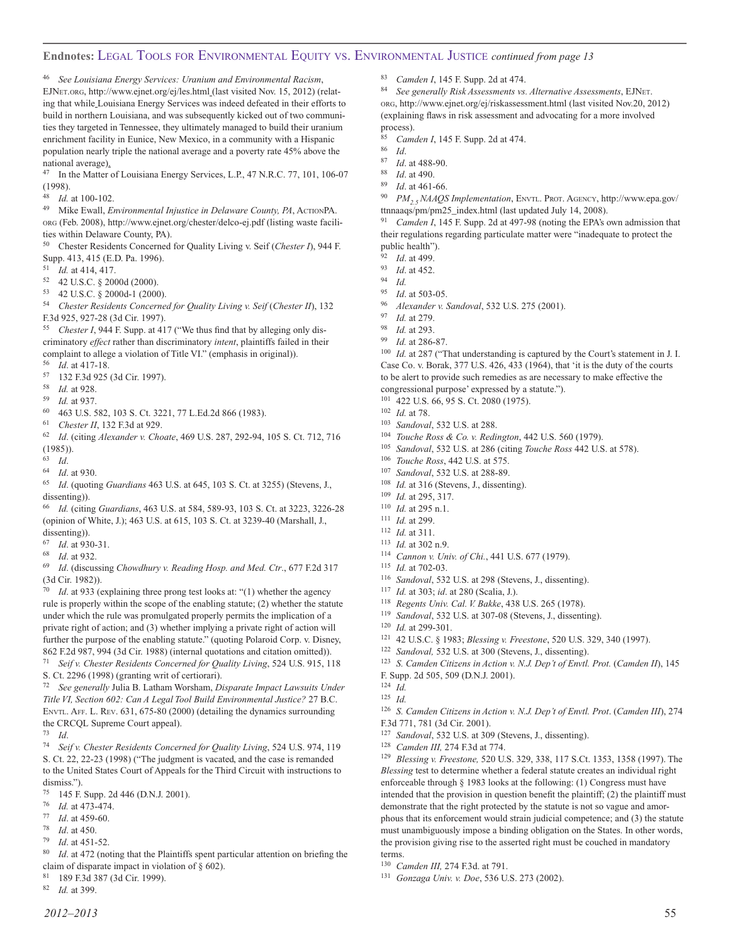#### **Endnotes:** Legal Tools for Environmental quity vs. Environmental Justice *continued from page 13*

<sup>46</sup> *See Louisiana Energy Services: Uranium and Environmental Racism*, EJNet.org, http://www.ejnet.org/ej/les.html (last visited Nov. 15, 2012) (relating that while Louisiana Energy Services was indeed defeated in their efforts to build in northern Louisiana, and was subsequently kicked out of two communities they targeted in Tennessee, they ultimately managed to build their uranium enrichment facility in Eunice, New Mexico, in a community with a Hispanic population nearly triple the national average and a poverty rate 45% above the national average).

<sup>47</sup> In the Matter of Louisiana Energy Services, L.P., 47 N.R.C. 77, 101, 106-07 (1998).

 $\frac{48}{49}$  *Id.* at 100-102.

<sup>49</sup> Mike Ewall, *Environmental Injustice in Delaware County, PA*, ActionPA. org (Feb. 2008), http://www.ejnet.org/chester/delco-ej.pdf (listing waste facilities within Delaware County, PA).

<sup>50</sup> Chester Residents Concerned for Quality Living v. Seif (*Chester I*), 944 F. Supp. 413, 415 (E.D. Pa. 1996).<br>51  $U_1$  at 414, 417

- Id. at 414, 417.
- <sup>52</sup> 42 U.S.C. § 2000d (2000).
- <sup>53</sup> 42 U.S.C. § 2000d-1 (2000).
- <sup>54</sup> *Chester Residents Concerned for Quality Living v. Seif* (*Chester II*), 132 F.3d 925, 927-28 (3d Cir. 1997).

<sup>55</sup> *Chester I*, 944 F. Supp. at 417 ("We thus find that by alleging only discriminatory *effect* rather than discriminatory *intent*, plaintiffs failed in their complaint to allege a violation of Title VI." (emphasis in original)). <sup>56</sup> *Id*. at 417-18.

- 
- <sup>57</sup> 132 F.3d 925 (3d Cir. 1997).
- 58 *Id.* at 928.<br>59 *Id.* at 937
- <sup>59</sup> *Id.* at 937.
- <sup>60</sup> 463 U.S. 582, 103 S. Ct. 3221, 77 L.Ed.2d 866 (1983).
- <sup>61</sup> *Chester II*, 132 F.3d at 929.

<sup>62</sup> *Id*. (citing *Alexander v. Choate*, 469 U.S. 287, 292-94, 105 S. Ct. 712, 716 (1985)).

- $\begin{array}{cc} 63 & Id. \\ 64 & 11 \end{array}$
- *Id.* at 930.
- <sup>65</sup> *Id*. (quoting *Guardians* 463 U.S. at 645, 103 S. Ct. at 3255) (Stevens, J., dissenting)).
- <sup>66</sup> *Id.* (citing *Guardians*, 463 U.S. at 584, 589-93, 103 S. Ct. at 3223, 3226-28 (opinion of White, J.); 463 U.S. at 615, 103 S. Ct. at 3239-40 (Marshall, J., dissenting)).
- $\frac{67}{68}$  *Id.* at 930-31.
- <sup>68</sup> *Id*. at 932.

<sup>69</sup> *Id*. (discussing *Chowdhury v. Reading Hosp. and Med. Ctr*., 677 F.2d 317 (3d Cir. 1982)).

*Id.* at 933 (explaining three prong test looks at: "(1) whether the agency rule is properly within the scope of the enabling statute; (2) whether the statute under which the rule was promulgated properly permits the implication of a private right of action; and (3) whether implying a private right of action will further the purpose of the enabling statute." (quoting Polaroid Corp. v. Disney, 862 F.2d 987, 994 (3d Cir. 1988) (internal quotations and citation omitted)).

<sup>71</sup> *Seif v. Chester Residents Concerned for Quality Living*, 524 U.S. 915, 118 S. Ct. 2296 (1998) (granting writ of certiorari).

<sup>72</sup> *See generally* Julia B. Latham Worsham, *Disparate Impact Lawsuits Under Title VI, Section 602: Can A Legal Tool Build Environmental Justice?* 27 B.C. Envtl. Aff. L. Rev. 631, 675-80 (2000) (detailing the dynamics surrounding the CRCQL Supreme Court appeal).

<sup>73</sup> *Id*.

<sup>74</sup> *Seif v. Chester Residents Concerned for Quality Living*, 524 U.S. 974, 119 S. Ct. 22, 22-23 (1998) ("The judgment is vacated, and the case is remanded to the United States Court of Appeals for the Third Circuit with instructions to dismiss.").<br> $\frac{75}{75}$  145 F

- $^{75}$  145 F. Supp. 2d 446 (D.N.J. 2001).
- $^{76}$  *Id.* at 473-474.
- *Id.* at 459-60.
- $\frac{78}{79}$  *Id.* at 450.
- *Id.* at 451-52.
- *Id.* at 472 (noting that the Plaintiffs spent particular attention on briefing the claim of disparate impact in violation of § 602).
- <sup>81</sup> 189 F.3d 387 (3d Cir. 1999).
- <sup>82</sup> *Id.* at 399.

<sup>83</sup> *Camden I*, 145 F. Supp. 2d at 474.

<sup>84</sup> *See generally Risk Assessments vs. Alternative Assessments*, EJNet. org, http://www.ejnet.org/ej/riskassessment.html (last visited Nov.20, 2012) (explaining flaws in risk assessment and advocating for a more involved process).

- <sup>85</sup> *Camden I*, 145 F. Supp. 2d at 474.
- $\frac{86}{87}$  *Id.*
- <sup>87</sup> *Id*. at 488-90.
- *Id*. at 490.
- <sup>89</sup> *Id*. at 461-66.

<sup>90</sup> *PM2.5 NAAQS Implementation*, Envtl. Prot. Agency, http://www.epa.gov/ ttnnaaqs/pm/pm25\_index.html (last updated July 14, 2008).

<sup>91</sup> *Camden I*, 145 F. Supp. 2d at 497-98 (noting the EPA's own admission that their regulations regarding particulate matter were "inadequate to protect the public health").

- <sup>92</sup> *Id*. at 499.
- *Id.* at 452.
- $\frac{94}{95}$  *Id.*
- *Id.* at 503-05.
- <sup>96</sup> *Alexander v. Sandoval*, 532 U.S. 275 (2001).
- <sup>97</sup> *Id.* at 279.
- <sup>98</sup> *Id.* at 293.
- *Id.* at 286-87.

<sup>100</sup> *Id.* at 287 ("That understanding is captured by the Court's statement in J. I. Case Co. v. Borak, 377 U.S. 426, 433 (1964), that 'it is the duty of the courts to be alert to provide such remedies as are necessary to make effective the congressional purpose' expressed by a statute.").

- <sup>101</sup> 422 U.S. 66, 95 S. Ct. 2080 (1975).
- $\frac{102}{103}$  *Id.* at 78.
- <sup>103</sup> *Sandoval*, 532 U.S. at 288.
- <sup>104</sup> *Touche Ross & Co. v. Redington*, 442 U.S. 560 (1979).
- <sup>105</sup> *Sandoval*, 532 U.S. at 286 (citing *Touche Ross* 442 U.S. at 578).
- <sup>106</sup> *Touche Ross*, 442 U.S. at 575.
- <sup>107</sup> *Sandoval*, 532 U.S. at 288-89.
- Id. at 316 (Stevens, J., dissenting).
- <sup>109</sup> *Id.* at 295, 317.
- <sup>110</sup> *Id.* at 295 n.1.
- <sup>111</sup> *Id.* at 299.
- <sup>112</sup> *Id.* at 311.
- <sup>113</sup> *Id.* at 302 n.9.<br><sup>114</sup> *Cannon v. Un.*
- Cannon v. Univ. of Chi., 441 U.S. 677 (1979).
- <sup>115</sup> *Id.* at 702-03.
- <sup>116</sup> *Sandoval*, 532 U.S. at 298 (Stevens, J., dissenting).
- <sup>117</sup> *Id.* at 303; *id*. at 280 (Scalia, J.).
- <sup>118</sup> *Regents Univ. Cal. V. Bakke*, 438 U.S. 265 (1978).
- <sup>119</sup> *Sandoval*, 532 U.S. at 307-08 (Stevens, J., dissenting).
- <sup>120</sup> *Id.* at 299-301.
- <sup>121</sup> 42 U.S.C. § 1983; *Blessing v. Freestone*, 520 U.S. 329, 340 (1997).
- <sup>122</sup> *Sandoval,* 532 U.S. at 300 (Stevens, J., dissenting).
- <sup>123</sup> *S. Camden Citizens in Action v. N.J. Dep't of Envtl. Prot.* (*Camden II*), 145 F. Supp. 2d 505, 509 (D.N.J. 2001).
- <sup>124</sup> *Id.*
- <sup>125</sup> *Id.*
- <sup>126</sup> *S. Camden Citizens in Action v. N.J. Dep't of Envtl. Prot*. (*Camden III*), 274 F.3d 771, 781 (3d Cir. 2001).
- <sup>127</sup> *Sandoval*, 532 U.S. at 309 (Stevens, J., dissenting).
- <sup>128</sup> *Camden III,* 274 F.3d at 774.

<sup>129</sup> *Blessing v. Freestone,* 520 U.S. 329, 338, 117 S.Ct. 1353, 1358 (1997). The *Blessing* test to determine whether a federal statute creates an individual right enforceable through § 1983 looks at the following: (1) Congress must have intended that the provision in question benefit the plaintiff; (2) the plaintiff must demonstrate that the right protected by the statute is not so vague and amorphous that its enforcement would strain judicial competence; and (3) the statute must unambiguously impose a binding obligation on the States. In other words, the provision giving rise to the asserted right must be couched in mandatory terms.

<sup>130</sup> *Camden III,* 274 F.3d. at 791.

<sup>131</sup> *Gonzaga Univ. v. Doe*, 536 U.S. 273 (2002).